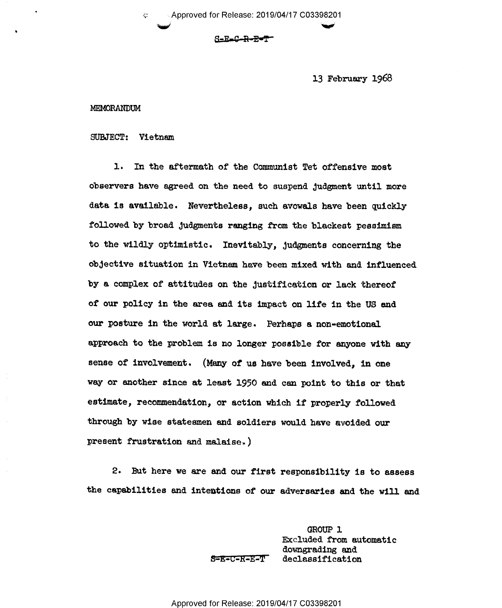13 February 1968

#### MEMORANDUM

SUBJECT: Vietnam

1. In the aftermath of the Communist Tet offensive most observers have agreed on the need to suspend Judgment until more data is available. Nevertheless, such avowals have been quickly followed.by broad Judgments ranging from the blackest pessimism to the wildly optimistic. Inevitebly, Judgments concerning the objective situation in Vietnam have been mixed with and influenced by a complex of attitudes on the Justification or lack thereof of our policy in the ares and its impact on life in the US and our posture in the world at large. Perhaps a non-emotional approach to the problem is no longer possible for anyone with any sense of involvement. (Many of us have been involved, in one way or another since at least 1950 and can point to this or that estimate, recommendation, or action which if properly followed through by wise statesmen and soldiers would have avoided our present frustration and malaise.)

2. But here we are and our first responsibility is to assess the capabilities and intentions of our adversaries and the will and

> GROUP l Excluded from automatic downgrading and S=E=C=R=E=T declassification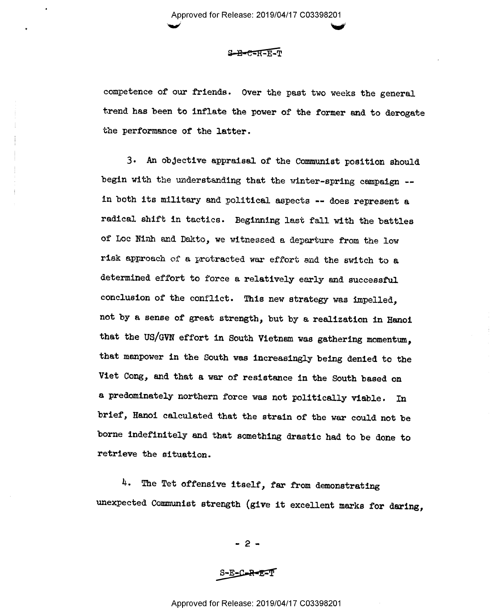Approved for Release: 2019/04/17 C03398201  $\sim$  in  $\sim$ 

## $S-B-C=R-E-T$

competence of our friends. Over the past two weeks the general trend has been to inflate the power of the former and to derogate the performance of the latter.

3. An objective appraisal of the Communist position should begin with the understanding that the winter-spring campaign -in both its military and political aspects -- does represent a radical shift in tactics. Beginning last fall with the battles of Loc Ninh and Dakto, we witnessed a departure from the low risk approach of a protracted war effort and the switch to a determined effort to force a relatively early and successful conclusion of the conflict. This new strategy was impelled, not by a sense of great strength, but by a realization in Hanoi that the US/GVN effort in South Vietnam was gathering momentum, that manpower in the South was increasingly being denied to the Viet Cong, and that a war of resistance in the South based on <sup>a</sup>predominately northern force was not politically viable. In brief, Hanoi calculated that the strain of the war could not be borne indefinitely and that something drastic had to be done to retrieve the situation.

4. The Tet offensive itself, far from demonstrating unexpected Communist strength (give it excellent marks for daring,

 $- 2 -$ 

 $S-E-C-R-ET$ 

# Approved for Release: 2019/04/17 C03398201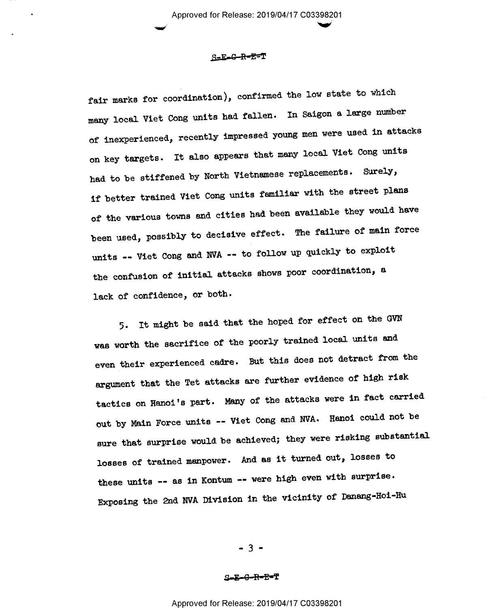Approved for Release: 2019/04/17 C03398201

### S=E-G-R-E=T

fair marks for coordination), confirmed the low state to which many local Viet Cong units had fallen. In Saigon a large number of inexperienced, recently impressed young men were used in attacks on key targets. It also appears that many local Viet Cong units had to be stiffened by North Vietnamese replacements. Surely, if better trained Viet Cong units familiar with the street plans of the various towns and cities had.been available they would have been used, possibly to decisive effect. The failure of main force units -- Viet Cong and NVA -- to follow up quickly to exploit the confusion of initial attacks shows poor coordination, <sup>a</sup> lack of confidence, or both.

5. It might be said that the hoped for effect on the GVN was worth the sacrifice of the poorly trained local units and even their experienced cadre. But this does not detract from the argument that the Tet attacks are further evidence of high risk tactics on Hanoi's part. Many of the attacks were in fact carried out by Main Force units -- Viet Cong and NVA. Hanoi could not be sure that surprise would be achieved; they were risking substantial losses of trained manpower. And as it turned out, losses to these units -- as in Kontum -- were high even with surprise. Exposing the 2nd NVA Division in the vicinity of Danang-Hoi-Hu

 $-3 -$ 

#### S<del>-E-G-R-E-</del>T

Approved for Release: 2019/04/17 C03398201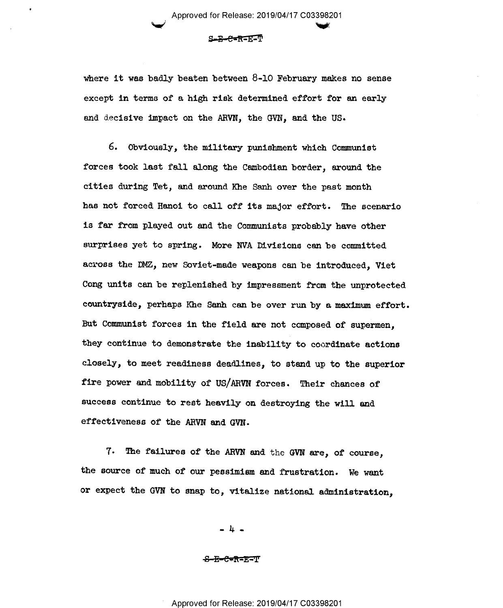$S-B-B+RE-EM$ 

\_ Approved for Release: 2019/04/17 C03398201

where it was badly beaten between 8-10 February makes no sense except in terms of a high risk determined effort for an early and decisive impact on the ARVN, the GVN, and the US.

6. Obviously, the military punishment which Communist forces took last fall along the Cambodian border, around the cities during Tet, and around Khe Sanh over the past month has not forced Hanoi to call off its major effort. The scenario is far from played out and the Communists probably have other surprises yet to spring. More NVA Divisions can be committed across the DMZ, new Soviet-made weapons can be introduced, Viet Cong units can be replenished by impressment from the unprotected countryside, perhaps Khe Sanh can be over run by a maximum effort. But Communist forces in the field are not composed of supermen, they continue to demonstrate the inability to coordinate actions closely, to meet readiness deadlines, to stand up to the superior fire power and mobility of US/ARVN forces. Their chances of success continue to rest heavily on destroying the will and effectiveness of the ARVN and GVN.

7. The failures of the ARVN and the GVN are, of course, the source of much of our pessimism and frustration. We want or expect the GVN to snap to, vitalize national administration,

..h..

<del>8-B-C-R-E-</del>T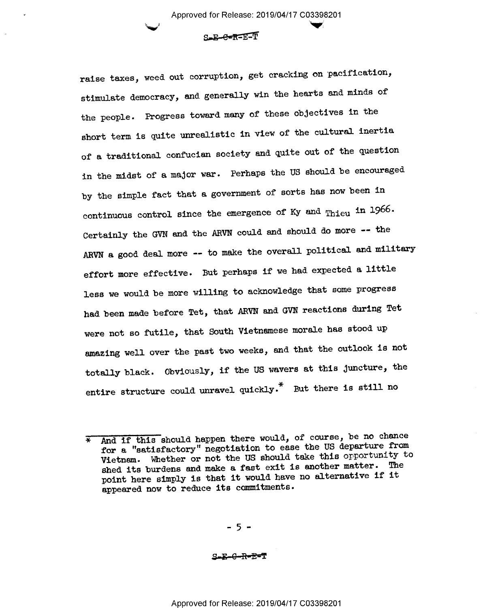s.s-e-s=E1T

raise taxes, weed out corruption, get cracking on pacification, stimulate democracy, and generally win the hearts and minds of the people. Progress toward many of these objectives in the short term is quite unrealistic in view of the cultural inertia of a traditional confucian society and quite out of the question in the midst of a major war. Perhaps the US should be encouraged by the simple fact that a government of sorts has now been in continuous control since the emergence of Ky and Thieu in 1966. Certainly the GVN and the ARVN could and should do more -- the ARVN a good deal more -- to make the overall political and military effort more effective. But perhaps if we had expected a little less we would be more willing to acknowledge that some progress had been made before Tet, that ARVN and GVN reactions during Tet were not so futile, that South Vietnamese morale has stood up amazing well over the past two weeks, and.that the outlook is not totally black. Obviously, if the US wavers at this juncture, the entire structure could unravel quickly.\* But there is still no

\_ 5 -

S-E—G-R-E=T

<sup>\*</sup> And if this should happen there would, of course, be no chance for a "satisfactory" negotiation to ease the US departure from Vietnam. Whether or not the US should take this opportunity to shed its burdens and make a fast exit is another matter. The point here simply is that it would have no alternative if it appeared now to reduce its comitments.